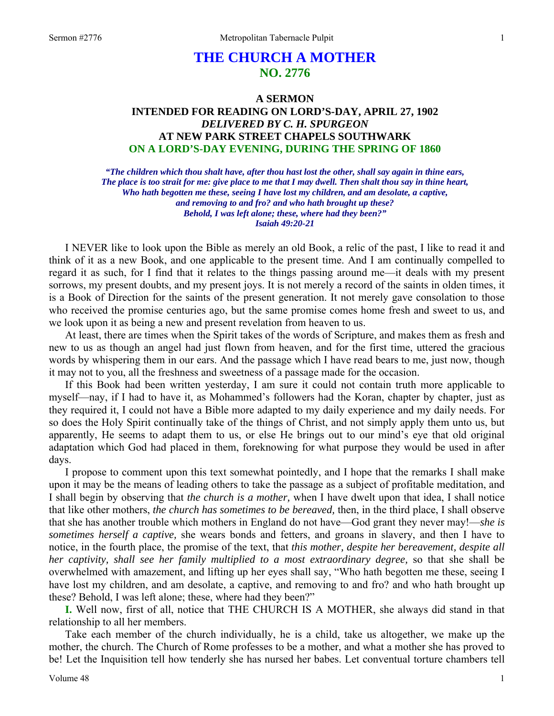# **THE CHURCH A MOTHER NO. 2776**

# **A SERMON INTENDED FOR READING ON LORD'S-DAY, APRIL 27, 1902**  *DELIVERED BY C. H. SPURGEON*  **AT NEW PARK STREET CHAPELS SOUTHWARK ON A LORD'S-DAY EVENING, DURING THE SPRING OF 1860**

*"The children which thou shalt have, after thou hast lost the other, shall say again in thine ears, The place is too strait for me: give place to me that I may dwell. Then shalt thou say in thine heart, Who hath begotten me these, seeing I have lost my children, and am desolate, a captive, and removing to and fro? and who hath brought up these? Behold, I was left alone; these, where had they been?" Isaiah 49:20-21* 

I NEVER like to look upon the Bible as merely an old Book, a relic of the past, I like to read it and think of it as a new Book, and one applicable to the present time. And I am continually compelled to regard it as such, for I find that it relates to the things passing around me—it deals with my present sorrows, my present doubts, and my present joys. It is not merely a record of the saints in olden times, it is a Book of Direction for the saints of the present generation. It not merely gave consolation to those who received the promise centuries ago, but the same promise comes home fresh and sweet to us, and we look upon it as being a new and present revelation from heaven to us.

At least, there are times when the Spirit takes of the words of Scripture, and makes them as fresh and new to us as though an angel had just flown from heaven, and for the first time, uttered the gracious words by whispering them in our ears. And the passage which I have read bears to me, just now, though it may not to you, all the freshness and sweetness of a passage made for the occasion.

If this Book had been written yesterday, I am sure it could not contain truth more applicable to myself—nay, if I had to have it, as Mohammed's followers had the Koran, chapter by chapter, just as they required it, I could not have a Bible more adapted to my daily experience and my daily needs. For so does the Holy Spirit continually take of the things of Christ, and not simply apply them unto us, but apparently, He seems to adapt them to us, or else He brings out to our mind's eye that old original adaptation which God had placed in them, foreknowing for what purpose they would be used in after days.

I propose to comment upon this text somewhat pointedly, and I hope that the remarks I shall make upon it may be the means of leading others to take the passage as a subject of profitable meditation, and I shall begin by observing that *the church is a mother,* when I have dwelt upon that idea, I shall notice that like other mothers, *the church has sometimes to be bereaved,* then, in the third place, I shall observe that she has another trouble which mothers in England do not have—God grant they never may!—*she is sometimes herself a captive,* she wears bonds and fetters, and groans in slavery, and then I have to notice, in the fourth place, the promise of the text, that *this mother, despite her bereavement, despite all her captivity, shall see her family multiplied to a most extraordinary degree,* so that she shall be overwhelmed with amazement, and lifting up her eyes shall say, "Who hath begotten me these, seeing I have lost my children, and am desolate, a captive, and removing to and fro? and who hath brought up these? Behold, I was left alone; these, where had they been?"

**I.** Well now, first of all, notice that THE CHURCH IS A MOTHER, she always did stand in that relationship to all her members.

Take each member of the church individually, he is a child, take us altogether, we make up the mother, the church. The Church of Rome professes to be a mother, and what a mother she has proved to be! Let the Inquisition tell how tenderly she has nursed her babes. Let conventual torture chambers tell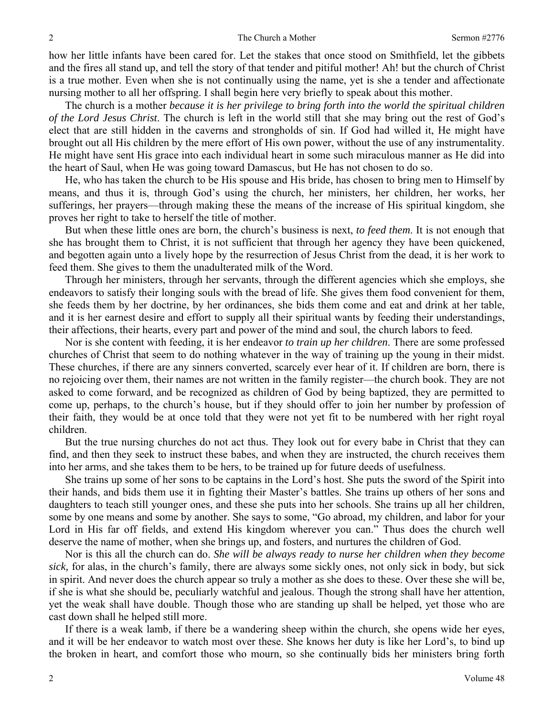how her little infants have been cared for. Let the stakes that once stood on Smithfield, let the gibbets and the fires all stand up, and tell the story of that tender and pitiful mother! Ah! but the church of Christ is a true mother. Even when she is not continually using the name, yet is she a tender and affectionate nursing mother to all her offspring. I shall begin here very briefly to speak about this mother.

The church is a mother *because it is her privilege to bring forth into the world the spiritual children of the Lord Jesus Christ*. The church is left in the world still that she may bring out the rest of God's elect that are still hidden in the caverns and strongholds of sin. If God had willed it, He might have brought out all His children by the mere effort of His own power, without the use of any instrumentality. He might have sent His grace into each individual heart in some such miraculous manner as He did into the heart of Saul, when He was going toward Damascus, but He has not chosen to do so.

He, who has taken the church to be His spouse and His bride, has chosen to bring men to Himself by means, and thus it is, through God's using the church, her ministers, her children, her works, her sufferings, her prayers—through making these the means of the increase of His spiritual kingdom, she proves her right to take to herself the title of mother.

But when these little ones are born, the church's business is next, *to feed them*. It is not enough that she has brought them to Christ, it is not sufficient that through her agency they have been quickened, and begotten again unto a lively hope by the resurrection of Jesus Christ from the dead, it is her work to feed them. She gives to them the unadulterated milk of the Word.

Through her ministers, through her servants, through the different agencies which she employs, she endeavors to satisfy their longing souls with the bread of life. She gives them food convenient for them, she feeds them by her doctrine, by her ordinances, she bids them come and eat and drink at her table, and it is her earnest desire and effort to supply all their spiritual wants by feeding their understandings, their affections, their hearts, every part and power of the mind and soul, the church labors to feed.

Nor is she content with feeding, it is her endeavor *to train up her children*. There are some professed churches of Christ that seem to do nothing whatever in the way of training up the young in their midst. These churches, if there are any sinners converted, scarcely ever hear of it. If children are born, there is no rejoicing over them, their names are not written in the family register—the church book. They are not asked to come forward, and be recognized as children of God by being baptized, they are permitted to come up, perhaps, to the church's house, but if they should offer to join her number by profession of their faith, they would be at once told that they were not yet fit to be numbered with her right royal children.

But the true nursing churches do not act thus. They look out for every babe in Christ that they can find, and then they seek to instruct these babes, and when they are instructed, the church receives them into her arms, and she takes them to be hers, to be trained up for future deeds of usefulness.

She trains up some of her sons to be captains in the Lord's host. She puts the sword of the Spirit into their hands, and bids them use it in fighting their Master's battles. She trains up others of her sons and daughters to teach still younger ones, and these she puts into her schools. She trains up all her children, some by one means and some by another. She says to some, "Go abroad, my children, and labor for your Lord in His far off fields, and extend His kingdom wherever you can." Thus does the church well deserve the name of mother, when she brings up, and fosters, and nurtures the children of God.

Nor is this all the church can do. *She will be always ready to nurse her children when they become sick,* for alas, in the church's family, there are always some sickly ones, not only sick in body, but sick in spirit. And never does the church appear so truly a mother as she does to these. Over these she will be, if she is what she should be, peculiarly watchful and jealous. Though the strong shall have her attention, yet the weak shall have double. Though those who are standing up shall be helped, yet those who are cast down shall he helped still more.

If there is a weak lamb, if there be a wandering sheep within the church, she opens wide her eyes, and it will be her endeavor to watch most over these. She knows her duty is like her Lord's, to bind up the broken in heart, and comfort those who mourn, so she continually bids her ministers bring forth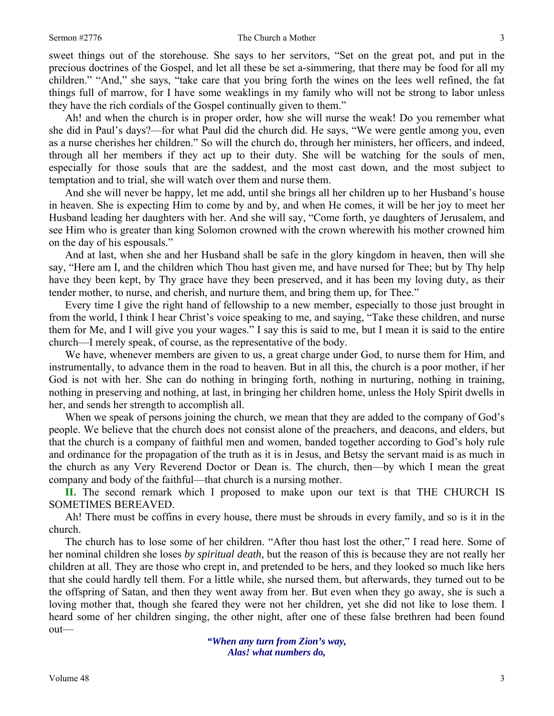#### Sermon #2776 3

sweet things out of the storehouse. She says to her servitors, "Set on the great pot, and put in the precious doctrines of the Gospel, and let all these be set a-simmering, that there may be food for all my children." "And," she says, "take care that you bring forth the wines on the lees well refined, the fat things full of marrow, for I have some weaklings in my family who will not be strong to labor unless they have the rich cordials of the Gospel continually given to them."

Ah! and when the church is in proper order, how she will nurse the weak! Do you remember what she did in Paul's days?—for what Paul did the church did. He says, "We were gentle among you, even as a nurse cherishes her children." So will the church do, through her ministers, her officers, and indeed, through all her members if they act up to their duty. She will be watching for the souls of men, especially for those souls that are the saddest, and the most cast down, and the most subject to temptation and to trial, she will watch over them and nurse them.

And she will never be happy, let me add, until she brings all her children up to her Husband's house in heaven. She is expecting Him to come by and by, and when He comes, it will be her joy to meet her Husband leading her daughters with her. And she will say, "Come forth, ye daughters of Jerusalem, and see Him who is greater than king Solomon crowned with the crown wherewith his mother crowned him on the day of his espousals."

And at last, when she and her Husband shall be safe in the glory kingdom in heaven, then will she say, "Here am I, and the children which Thou hast given me, and have nursed for Thee; but by Thy help have they been kept, by Thy grace have they been preserved, and it has been my loving duty, as their tender mother, to nurse, and cherish, and nurture them, and bring them up, for Thee."

Every time I give the right hand of fellowship to a new member, especially to those just brought in from the world, I think I hear Christ's voice speaking to me, and saying, "Take these children, and nurse them for Me, and I will give you your wages." I say this is said to me, but I mean it is said to the entire church—I merely speak, of course, as the representative of the body.

We have, whenever members are given to us, a great charge under God, to nurse them for Him, and instrumentally, to advance them in the road to heaven. But in all this, the church is a poor mother, if her God is not with her. She can do nothing in bringing forth, nothing in nurturing, nothing in training, nothing in preserving and nothing, at last, in bringing her children home, unless the Holy Spirit dwells in her, and sends her strength to accomplish all.

When we speak of persons joining the church, we mean that they are added to the company of God's people. We believe that the church does not consist alone of the preachers, and deacons, and elders, but that the church is a company of faithful men and women, banded together according to God's holy rule and ordinance for the propagation of the truth as it is in Jesus, and Betsy the servant maid is as much in the church as any Very Reverend Doctor or Dean is. The church, then—by which I mean the great company and body of the faithful—that church is a nursing mother.

**II.** The second remark which I proposed to make upon our text is that THE CHURCH IS SOMETIMES BEREAVED.

Ah! There must be coffins in every house, there must be shrouds in every family, and so is it in the church.

The church has to lose some of her children. "After thou hast lost the other," I read here. Some of her nominal children she loses *by spiritual death,* but the reason of this is because they are not really her children at all. They are those who crept in, and pretended to be hers, and they looked so much like hers that she could hardly tell them. For a little while, she nursed them, but afterwards, they turned out to be the offspring of Satan, and then they went away from her. But even when they go away, she is such a loving mother that, though she feared they were not her children, yet she did not like to lose them. I heard some of her children singing, the other night, after one of these false brethren had been found out—

> *"When any turn from Zion's way, Alas! what numbers do,*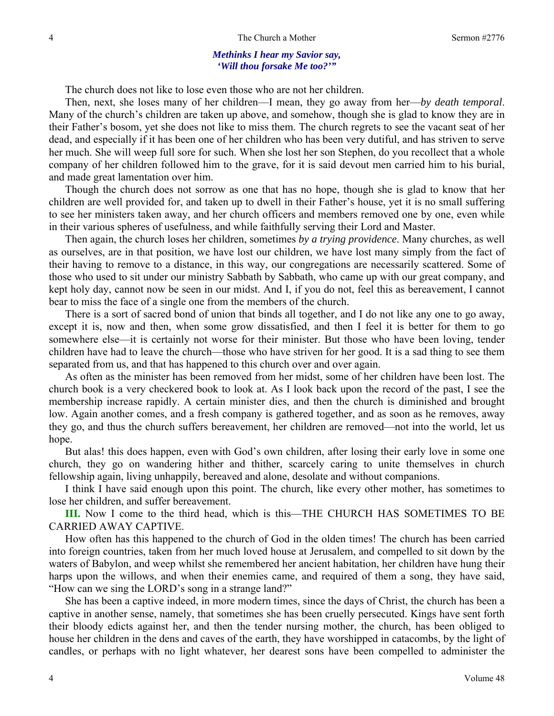### *Methinks I hear my Savior say, 'Will thou forsake Me too?'"*

The church does not like to lose even those who are not her children.

Then, next, she loses many of her children—I mean, they go away from her—*by death temporal*. Many of the church's children are taken up above, and somehow, though she is glad to know they are in their Father's bosom, yet she does not like to miss them. The church regrets to see the vacant seat of her dead, and especially if it has been one of her children who has been very dutiful, and has striven to serve her much. She will weep full sore for such. When she lost her son Stephen, do you recollect that a whole company of her children followed him to the grave, for it is said devout men carried him to his burial, and made great lamentation over him.

Though the church does not sorrow as one that has no hope, though she is glad to know that her children are well provided for, and taken up to dwell in their Father's house, yet it is no small suffering to see her ministers taken away, and her church officers and members removed one by one, even while in their various spheres of usefulness, and while faithfully serving their Lord and Master.

Then again, the church loses her children, sometimes *by a trying providence*. Many churches, as well as ourselves, are in that position, we have lost our children, we have lost many simply from the fact of their having to remove to a distance, in this way, our congregations are necessarily scattered. Some of those who used to sit under our ministry Sabbath by Sabbath, who came up with our great company, and kept holy day, cannot now be seen in our midst. And I, if you do not, feel this as bereavement, I cannot bear to miss the face of a single one from the members of the church.

There is a sort of sacred bond of union that binds all together, and I do not like any one to go away, except it is, now and then, when some grow dissatisfied, and then I feel it is better for them to go somewhere else—it is certainly not worse for their minister. But those who have been loving, tender children have had to leave the church—those who have striven for her good. It is a sad thing to see them separated from us, and that has happened to this church over and over again.

As often as the minister has been removed from her midst, some of her children have been lost. The church book is a very checkered book to look at. As I look back upon the record of the past, I see the membership increase rapidly. A certain minister dies, and then the church is diminished and brought low. Again another comes, and a fresh company is gathered together, and as soon as he removes, away they go, and thus the church suffers bereavement, her children are removed—not into the world, let us hope.

But alas! this does happen, even with God's own children, after losing their early love in some one church, they go on wandering hither and thither, scarcely caring to unite themselves in church fellowship again, living unhappily, bereaved and alone, desolate and without companions.

I think I have said enough upon this point. The church, like every other mother, has sometimes to lose her children, and suffer bereavement.

**III.** Now I come to the third head, which is this—THE CHURCH HAS SOMETIMES TO BE CARRIED AWAY CAPTIVE.

How often has this happened to the church of God in the olden times! The church has been carried into foreign countries, taken from her much loved house at Jerusalem, and compelled to sit down by the waters of Babylon, and weep whilst she remembered her ancient habitation, her children have hung their harps upon the willows, and when their enemies came, and required of them a song, they have said, "How can we sing the LORD's song in a strange land?"

She has been a captive indeed, in more modern times, since the days of Christ, the church has been a captive in another sense, namely, that sometimes she has been cruelly persecuted. Kings have sent forth their bloody edicts against her, and then the tender nursing mother, the church, has been obliged to house her children in the dens and caves of the earth, they have worshipped in catacombs, by the light of candles, or perhaps with no light whatever, her dearest sons have been compelled to administer the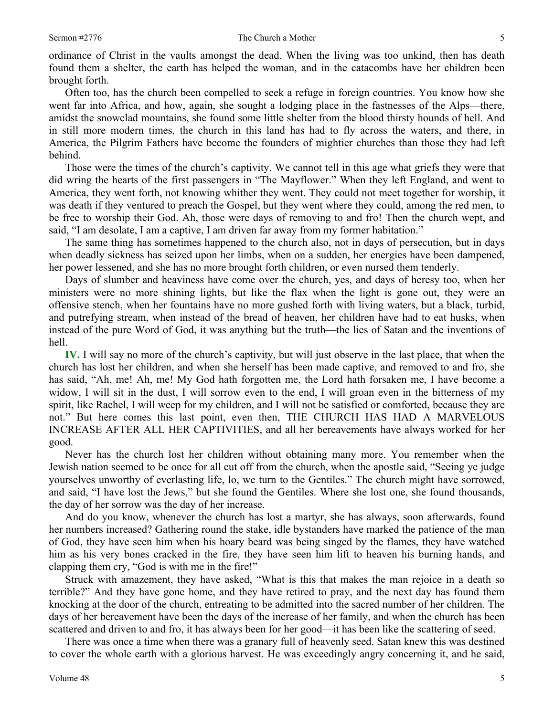ordinance of Christ in the vaults amongst the dead. When the living was too unkind, then has death found them a shelter, the earth has helped the woman, and in the catacombs have her children been brought forth.

Often too, has the church been compelled to seek a refuge in foreign countries. You know how she went far into Africa, and how, again, she sought a lodging place in the fastnesses of the Alps—there, amidst the snowclad mountains, she found some little shelter from the blood thirsty hounds of hell. And in still more modern times, the church in this land has had to fly across the waters, and there, in America, the Pilgrim Fathers have become the founders of mightier churches than those they had left behind.

Those were the times of the church's captivity. We cannot tell in this age what griefs they were that did wring the hearts of the first passengers in "The Mayflower." When they left England, and went to America, they went forth, not knowing whither they went. They could not meet together for worship, it was death if they ventured to preach the Gospel, but they went where they could, among the red men, to be free to worship their God. Ah, those were days of removing to and fro! Then the church wept, and said, "I am desolate, I am a captive, I am driven far away from my former habitation."

The same thing has sometimes happened to the church also, not in days of persecution, but in days when deadly sickness has seized upon her limbs, when on a sudden, her energies have been dampened, her power lessened, and she has no more brought forth children, or even nursed them tenderly.

Days of slumber and heaviness have come over the church, yes, and days of heresy too, when her ministers were no more shining lights, but like the flax when the light is gone out, they were an offensive stench, when her fountains have no more gushed forth with living waters, but a black, turbid, and putrefying stream, when instead of the bread of heaven, her children have had to eat husks, when instead of the pure Word of God, it was anything but the truth—the lies of Satan and the inventions of hell.

**IV.** I will say no more of the church's captivity, but will just observe in the last place, that when the church has lost her children, and when she herself has been made captive, and removed to and fro, she has said, "Ah, me! Ah, me! My God hath forgotten me, the Lord hath forsaken me, I have become a widow, I will sit in the dust, I will sorrow even to the end, I will groan even in the bitterness of my spirit, like Rachel, I will weep for my children, and I will not be satisfied or comforted, because they are not." But here comes this last point, even then, THE CHURCH HAS HAD A MARVELOUS INCREASE AFTER ALL HER CAPTIVITIES, and all her bereavements have always worked for her good.

Never has the church lost her children without obtaining many more. You remember when the Jewish nation seemed to be once for all cut off from the church, when the apostle said, "Seeing ye judge yourselves unworthy of everlasting life, lo, we turn to the Gentiles." The church might have sorrowed, and said, "I have lost the Jews," but she found the Gentiles. Where she lost one, she found thousands, the day of her sorrow was the day of her increase.

And do you know, whenever the church has lost a martyr, she has always, soon afterwards, found her numbers increased? Gathering round the stake, idle bystanders have marked the patience of the man of God, they have seen him when his hoary beard was being singed by the flames, they have watched him as his very bones cracked in the fire, they have seen him lift to heaven his burning hands, and clapping them cry, "God is with me in the fire!"

Struck with amazement, they have asked, "What is this that makes the man rejoice in a death so terrible?" And they have gone home, and they have retired to pray, and the next day has found them knocking at the door of the church, entreating to be admitted into the sacred number of her children. The days of her bereavement have been the days of the increase of her family, and when the church has been scattered and driven to and fro, it has always been for her good—it has been like the scattering of seed.

There was once a time when there was a granary full of heavenly seed. Satan knew this was destined to cover the whole earth with a glorious harvest. He was exceedingly angry concerning it, and he said,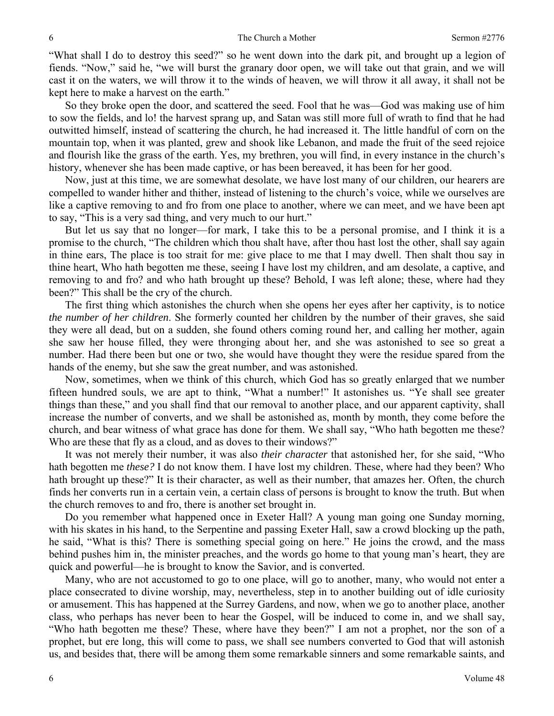"What shall I do to destroy this seed?" so he went down into the dark pit, and brought up a legion of fiends. "Now," said he, "we will burst the granary door open, we will take out that grain, and we will cast it on the waters, we will throw it to the winds of heaven, we will throw it all away, it shall not be kept here to make a harvest on the earth."

So they broke open the door, and scattered the seed. Fool that he was—God was making use of him to sow the fields, and lo! the harvest sprang up, and Satan was still more full of wrath to find that he had outwitted himself, instead of scattering the church, he had increased it. The little handful of corn on the mountain top, when it was planted, grew and shook like Lebanon, and made the fruit of the seed rejoice and flourish like the grass of the earth. Yes, my brethren, you will find, in every instance in the church's history, whenever she has been made captive, or has been bereaved, it has been for her good.

Now, just at this time, we are somewhat desolate, we have lost many of our children, our hearers are compelled to wander hither and thither, instead of listening to the church's voice, while we ourselves are like a captive removing to and fro from one place to another, where we can meet, and we have been apt to say, "This is a very sad thing, and very much to our hurt."

But let us say that no longer—for mark, I take this to be a personal promise, and I think it is a promise to the church, "The children which thou shalt have, after thou hast lost the other, shall say again in thine ears, The place is too strait for me: give place to me that I may dwell. Then shalt thou say in thine heart, Who hath begotten me these, seeing I have lost my children, and am desolate, a captive, and removing to and fro? and who hath brought up these? Behold, I was left alone; these, where had they been?" This shall be the cry of the church.

The first thing which astonishes the church when she opens her eyes after her captivity, is to notice *the number of her children*. She formerly counted her children by the number of their graves, she said they were all dead, but on a sudden, she found others coming round her, and calling her mother, again she saw her house filled, they were thronging about her, and she was astonished to see so great a number. Had there been but one or two, she would have thought they were the residue spared from the hands of the enemy, but she saw the great number, and was astonished.

Now, sometimes, when we think of this church, which God has so greatly enlarged that we number fifteen hundred souls, we are apt to think, "What a number!" It astonishes us. "Ye shall see greater things than these," and you shall find that our removal to another place, and our apparent captivity, shall increase the number of converts, and we shall be astonished as, month by month, they come before the church, and bear witness of what grace has done for them. We shall say, "Who hath begotten me these? Who are these that fly as a cloud, and as doves to their windows?"

It was not merely their number, it was also *their character* that astonished her, for she said, "Who hath begotten me *these?* I do not know them. I have lost my children. These, where had they been? Who hath brought up these?" It is their character, as well as their number, that amazes her. Often, the church finds her converts run in a certain vein, a certain class of persons is brought to know the truth. But when the church removes to and fro, there is another set brought in.

Do you remember what happened once in Exeter Hall? A young man going one Sunday morning, with his skates in his hand, to the Serpentine and passing Exeter Hall, saw a crowd blocking up the path, he said, "What is this? There is something special going on here." He joins the crowd, and the mass behind pushes him in, the minister preaches, and the words go home to that young man's heart, they are quick and powerful—he is brought to know the Savior, and is converted.

Many, who are not accustomed to go to one place, will go to another, many, who would not enter a place consecrated to divine worship, may, nevertheless, step in to another building out of idle curiosity or amusement. This has happened at the Surrey Gardens, and now, when we go to another place, another class, who perhaps has never been to hear the Gospel, will be induced to come in, and we shall say, "Who hath begotten me these? These, where have they been?" I am not a prophet, nor the son of a prophet, but ere long, this will come to pass, we shall see numbers converted to God that will astonish us, and besides that, there will be among them some remarkable sinners and some remarkable saints, and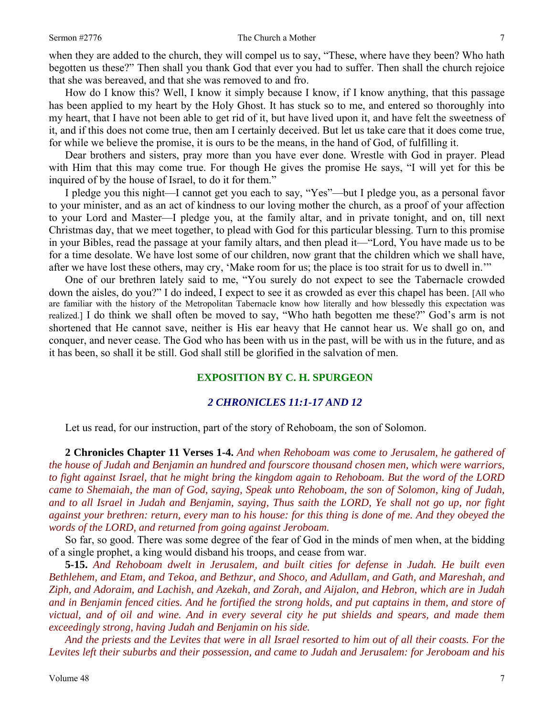when they are added to the church, they will compel us to say, "These, where have they been? Who hath begotten us these?" Then shall you thank God that ever you had to suffer. Then shall the church rejoice that she was bereaved, and that she was removed to and fro.

How do I know this? Well, I know it simply because I know, if I know anything, that this passage has been applied to my heart by the Holy Ghost. It has stuck so to me, and entered so thoroughly into my heart, that I have not been able to get rid of it, but have lived upon it, and have felt the sweetness of it, and if this does not come true, then am I certainly deceived. But let us take care that it does come true, for while we believe the promise, it is ours to be the means, in the hand of God, of fulfilling it.

Dear brothers and sisters, pray more than you have ever done. Wrestle with God in prayer. Plead with Him that this may come true. For though He gives the promise He says, "I will yet for this be inquired of by the house of Israel, to do it for them."

I pledge you this night—I cannot get you each to say, "Yes"—but I pledge you, as a personal favor to your minister, and as an act of kindness to our loving mother the church, as a proof of your affection to your Lord and Master—I pledge you, at the family altar, and in private tonight, and on, till next Christmas day, that we meet together, to plead with God for this particular blessing. Turn to this promise in your Bibles, read the passage at your family altars, and then plead it—"Lord, You have made us to be for a time desolate. We have lost some of our children, now grant that the children which we shall have, after we have lost these others, may cry, 'Make room for us; the place is too strait for us to dwell in.'"

One of our brethren lately said to me, "You surely do not expect to see the Tabernacle crowded down the aisles, do you?" I do indeed, I expect to see it as crowded as ever this chapel has been. [All who are familiar with the history of the Metropolitan Tabernacle know how literally and how blessedly this expectation was realized.] I do think we shall often be moved to say, "Who hath begotten me these?" God's arm is not shortened that He cannot save, neither is His ear heavy that He cannot hear us. We shall go on, and conquer, and never cease. The God who has been with us in the past, will be with us in the future, and as it has been, so shall it be still. God shall still be glorified in the salvation of men.

## **EXPOSITION BY C. H. SPURGEON**

# *2 CHRONICLES 11:1-17 AND 12*

Let us read, for our instruction, part of the story of Rehoboam, the son of Solomon.

**2 Chronicles Chapter 11 Verses 1-4.** *And when Rehoboam was come to Jerusalem, he gathered of the house of Judah and Benjamin an hundred and fourscore thousand chosen men, which were warriors, to fight against Israel, that he might bring the kingdom again to Rehoboam. But the word of the LORD came to Shemaiah, the man of God, saying, Speak unto Rehoboam, the son of Solomon, king of Judah, and to all Israel in Judah and Benjamin, saying, Thus saith the LORD, Ye shall not go up, nor fight against your brethren: return, every man to his house: for this thing is done of me. And they obeyed the words of the LORD, and returned from going against Jeroboam.* 

So far, so good. There was some degree of the fear of God in the minds of men when, at the bidding of a single prophet, a king would disband his troops, and cease from war.

**5-15.** *And Rehoboam dwelt in Jerusalem, and built cities for defense in Judah. He built even Bethlehem, and Etam, and Tekoa, and Bethzur, and Shoco, and Adullam, and Gath, and Mareshah, and Ziph, and Adoraim, and Lachish, and Azekah, and Zorah, and Aijalon, and Hebron, which are in Judah and in Benjamin fenced cities. And he fortified the strong holds, and put captains in them, and store of victual, and of oil and wine. And in every several city he put shields and spears, and made them exceedingly strong, having Judah and Benjamin on his side.* 

*And the priests and the Levites that were in all Israel resorted to him out of all their coasts. For the Levites left their suburbs and their possession, and came to Judah and Jerusalem: for Jeroboam and his*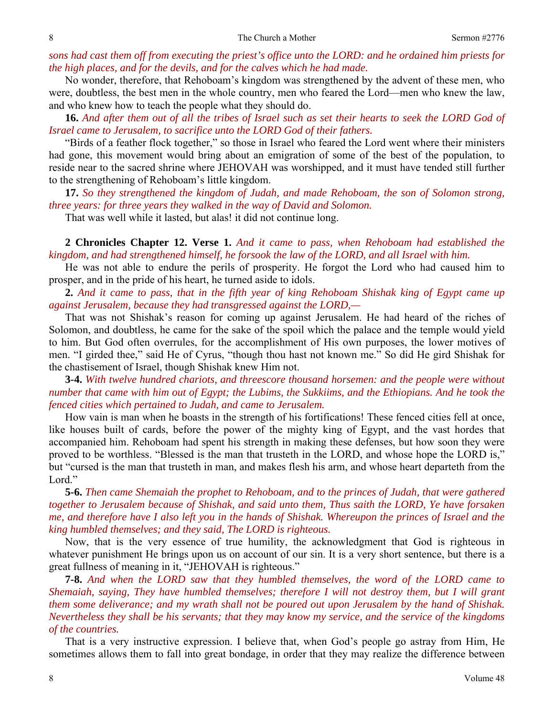*sons had cast them off from executing the priest's office unto the LORD: and he ordained him priests for the high places, and for the devils, and for the calves which he had made.* 

No wonder, therefore, that Rehoboam's kingdom was strengthened by the advent of these men, who were, doubtless, the best men in the whole country, men who feared the Lord—men who knew the law, and who knew how to teach the people what they should do.

**16.** *And after them out of all the tribes of Israel such as set their hearts to seek the LORD God of Israel came to Jerusalem, to sacrifice unto the LORD God of their fathers.* 

"Birds of a feather flock together," so those in Israel who feared the Lord went where their ministers had gone, this movement would bring about an emigration of some of the best of the population, to reside near to the sacred shrine where JEHOVAH was worshipped, and it must have tended still further to the strengthening of Rehoboam's little kingdom.

**17.** *So they strengthened the kingdom of Judah, and made Rehoboam, the son of Solomon strong, three years: for three years they walked in the way of David and Solomon.* 

That was well while it lasted, but alas! it did not continue long.

**2 Chronicles Chapter 12. Verse 1.** *And it came to pass, when Rehoboam had established the kingdom, and had strengthened himself, he forsook the law of the LORD, and all Israel with him.* 

He was not able to endure the perils of prosperity. He forgot the Lord who had caused him to prosper, and in the pride of his heart, he turned aside to idols.

**2.** *And it came to pass, that in the fifth year of king Rehoboam Shishak king of Egypt came up against Jerusalem, because they had transgressed against the LORD,—* 

That was not Shishak's reason for coming up against Jerusalem. He had heard of the riches of Solomon, and doubtless, he came for the sake of the spoil which the palace and the temple would yield to him. But God often overrules, for the accomplishment of His own purposes, the lower motives of men. "I girded thee," said He of Cyrus, "though thou hast not known me." So did He gird Shishak for the chastisement of Israel, though Shishak knew Him not.

**3-4.** *With twelve hundred chariots, and threescore thousand horsemen: and the people were without number that came with him out of Egypt; the Lubims, the Sukkiims, and the Ethiopians. And he took the fenced cities which pertained to Judah, and came to Jerusalem.* 

How vain is man when he boasts in the strength of his fortifications! These fenced cities fell at once, like houses built of cards, before the power of the mighty king of Egypt, and the vast hordes that accompanied him. Rehoboam had spent his strength in making these defenses, but how soon they were proved to be worthless. "Blessed is the man that trusteth in the LORD, and whose hope the LORD is," but "cursed is the man that trusteth in man, and makes flesh his arm, and whose heart departeth from the Lord."

**5-6.** *Then came Shemaiah the prophet to Rehoboam, and to the princes of Judah, that were gathered together to Jerusalem because of Shishak, and said unto them, Thus saith the LORD, Ye have forsaken me, and therefore have I also left you in the hands of Shishak. Whereupon the princes of Israel and the king humbled themselves; and they said, The LORD is righteous.* 

Now, that is the very essence of true humility, the acknowledgment that God is righteous in whatever punishment He brings upon us on account of our sin. It is a very short sentence, but there is a great fullness of meaning in it, "JEHOVAH is righteous."

**7-8.** *And when the LORD saw that they humbled themselves, the word of the LORD came to Shemaiah, saying, They have humbled themselves; therefore I will not destroy them, but I will grant them some deliverance; and my wrath shall not be poured out upon Jerusalem by the hand of Shishak. Nevertheless they shall be his servants; that they may know my service, and the service of the kingdoms of the countries.* 

That is a very instructive expression. I believe that, when God's people go astray from Him, He sometimes allows them to fall into great bondage, in order that they may realize the difference between